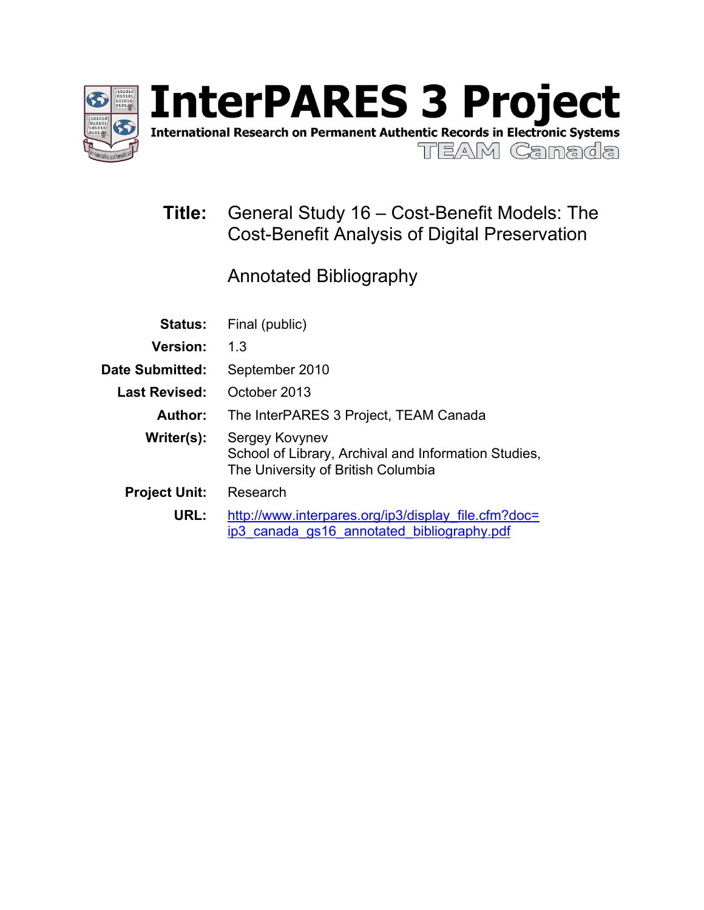

International Research on Permanent Authentic Records in Electronic Systems

TEAM Ganada

# **Title:** General Study 16 – Cost-Benefit Models: The Cost-Benefit Analysis of Digital Preservation

Annotated Bibliography

| <b>Status:</b>         | Final (public)                                                                                               |  |  |
|------------------------|--------------------------------------------------------------------------------------------------------------|--|--|
| <b>Version:</b>        | 1.3                                                                                                          |  |  |
| <b>Date Submitted:</b> | September 2010                                                                                               |  |  |
| <b>Last Revised:</b>   | October 2013                                                                                                 |  |  |
| Author:                | The InterPARES 3 Project, TEAM Canada                                                                        |  |  |
| Writer(s):             | Sergey Kovynev<br>School of Library, Archival and Information Studies,<br>The University of British Columbia |  |  |
| <b>Project Unit:</b>   | Research                                                                                                     |  |  |
| URL:                   | http://www.interpares.org/ip3/display file.cfm?doc=<br>ip3 canada gs16 annotated bibliography.pdf            |  |  |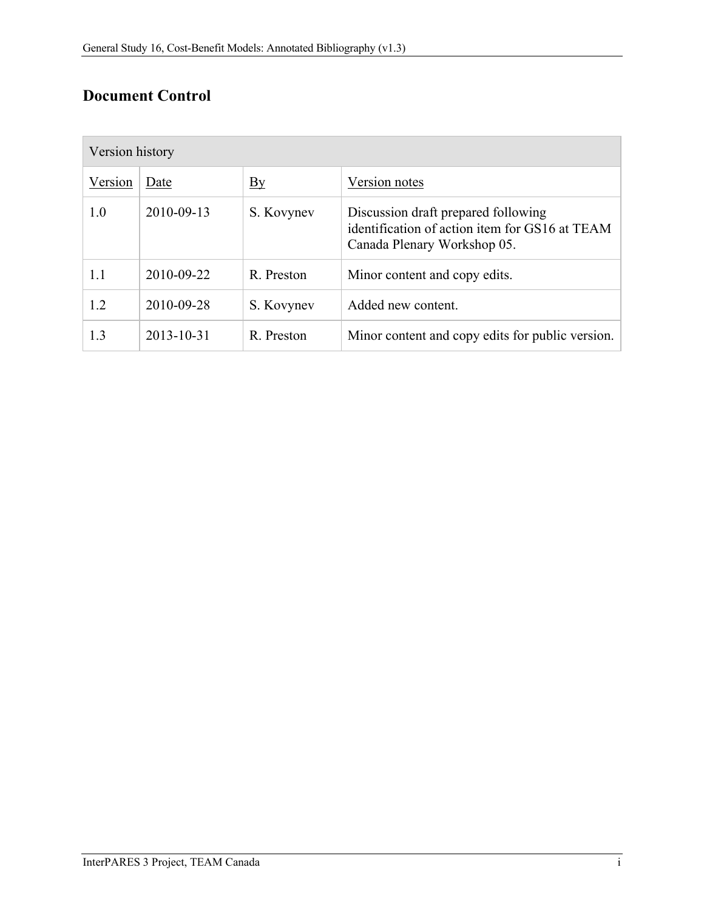# **Document Control**

| Version history |                  |                  |                                                                                                                      |  |
|-----------------|------------------|------------------|----------------------------------------------------------------------------------------------------------------------|--|
| Version         | Date             | $\underline{By}$ | Version notes                                                                                                        |  |
| 1.0             | 2010-09-13       | S. Kovynev       | Discussion draft prepared following<br>identification of action item for GS16 at TEAM<br>Canada Plenary Workshop 05. |  |
| 1.1             | 2010-09-22       | R. Preston       | Minor content and copy edits.                                                                                        |  |
| 1.2             | 2010-09-28       | S. Kovynev       | Added new content.                                                                                                   |  |
| 1.3             | $2013 - 10 - 31$ | R. Preston       | Minor content and copy edits for public version.                                                                     |  |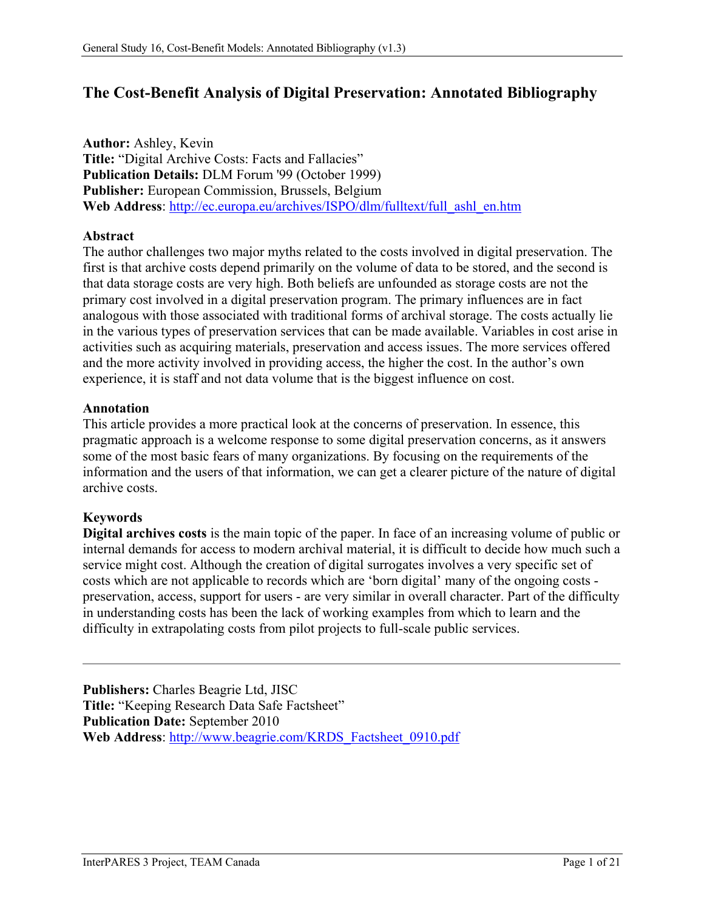# **The Cost-Benefit Analysis of Digital Preservation: Annotated Bibliography**

**Author:** Ashley, Kevin **Title:** "Digital Archive Costs: Facts and Fallacies" **Publication Details:** DLM Forum '99 (October 1999) **Publisher:** European Commission, Brussels, Belgium **Web Address**: [http://ec.europa.eu/archives/ISPO/dlm/fulltext/full\\_ashl\\_en.htm](http://ec.europa.eu/archives/ISPO/dlm/fulltext/full_ashl_en.htm)

### **Abstract**

The author challenges two major myths related to the costs involved in digital preservation. The first is that archive costs depend primarily on the volume of data to be stored, and the second is that data storage costs are very high. Both beliefs are unfounded as storage costs are not the primary cost involved in a digital preservation program. The primary influences are in fact analogous with those associated with traditional forms of archival storage. The costs actually lie in the various types of preservation services that can be made available. Variables in cost arise in activities such as acquiring materials, preservation and access issues. The more services offered and the more activity involved in providing access, the higher the cost. In the author's own experience, it is staff and not data volume that is the biggest influence on cost.

# **Annotation**

This article provides a more practical look at the concerns of preservation. In essence, this pragmatic approach is a welcome response to some digital preservation concerns, as it answers some of the most basic fears of many organizations. By focusing on the requirements of the information and the users of that information, we can get a clearer picture of the nature of digital archive costs.

# **Keywords**

**Digital archives costs** is the main topic of the paper. In face of an increasing volume of public or internal demands for access to modern archival material, it is difficult to decide how much such a service might cost. Although the creation of digital surrogates involves a very specific set of costs which are not applicable to records which are 'born digital' many of the ongoing costs preservation, access, support for users - are very similar in overall character. Part of the difficulty in understanding costs has been the lack of working examples from which to learn and the difficulty in extrapolating costs from pilot projects to full-scale public services.

**Publishers:** Charles Beagrie Ltd, JISC **Title:** "Keeping Research Data Safe Factsheet" **Publication Date:** September 2010 **Web Address**: [http://www.beagrie.com/KRDS\\_Factsheet\\_0910.pdf](http://www.beagrie.com/KRDS_Factsheet_0910.pdf)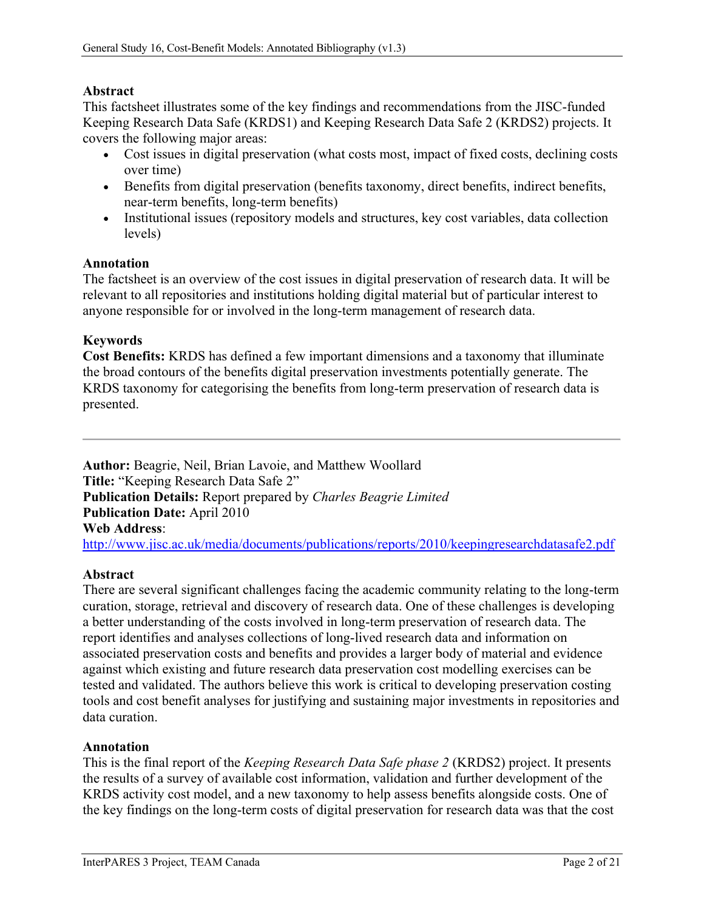# **Abstract**

This factsheet illustrates some of the key findings and recommendations from the JISC-funded Keeping Research Data Safe (KRDS1) and Keeping Research Data Safe 2 (KRDS2) projects. It covers the following major areas:

- Cost issues in digital preservation (what costs most, impact of fixed costs, declining costs over time)
- Benefits from digital preservation (benefits taxonomy, direct benefits, indirect benefits, near-term benefits, long-term benefits)
- Institutional issues (repository models and structures, key cost variables, data collection levels)

### **Annotation**

The factsheet is an overview of the cost issues in digital preservation of research data. It will be relevant to all repositories and institutions holding digital material but of particular interest to anyone responsible for or involved in the long-term management of research data.

### **Keywords**

**Cost Benefits:** KRDS has defined a few important dimensions and a taxonomy that illuminate the broad contours of the benefits digital preservation investments potentially generate. The KRDS taxonomy for categorising the benefits from long-term preservation of research data is presented.

**Author:** Beagrie, Neil, Brian Lavoie, and Matthew Woollard **Title:** "Keeping Research Data Safe 2" **Publication Details:** Report prepared by *Charles Beagrie Limited* **Publication Date:** April 2010 **Web Address**: <http://www.jisc.ac.uk/media/documents/publications/reports/2010/keepingresearchdatasafe2.pdf>

### **Abstract**

There are several significant challenges facing the academic community relating to the long-term curation, storage, retrieval and discovery of research data. One of these challenges is developing a better understanding of the costs involved in long-term preservation of research data. The report identifies and analyses collections of long-lived research data and information on associated preservation costs and benefits and provides a larger body of material and evidence against which existing and future research data preservation cost modelling exercises can be tested and validated. The authors believe this work is critical to developing preservation costing tools and cost benefit analyses for justifying and sustaining major investments in repositories and data curation.

#### **Annotation**

This is the final report of the *Keeping Research Data Safe phase 2* (KRDS2) project. It presents the results of a survey of available cost information, validation and further development of the KRDS activity cost model, and a new taxonomy to help assess benefits alongside costs. One of the key findings on the long-term costs of digital preservation for research data was that the cost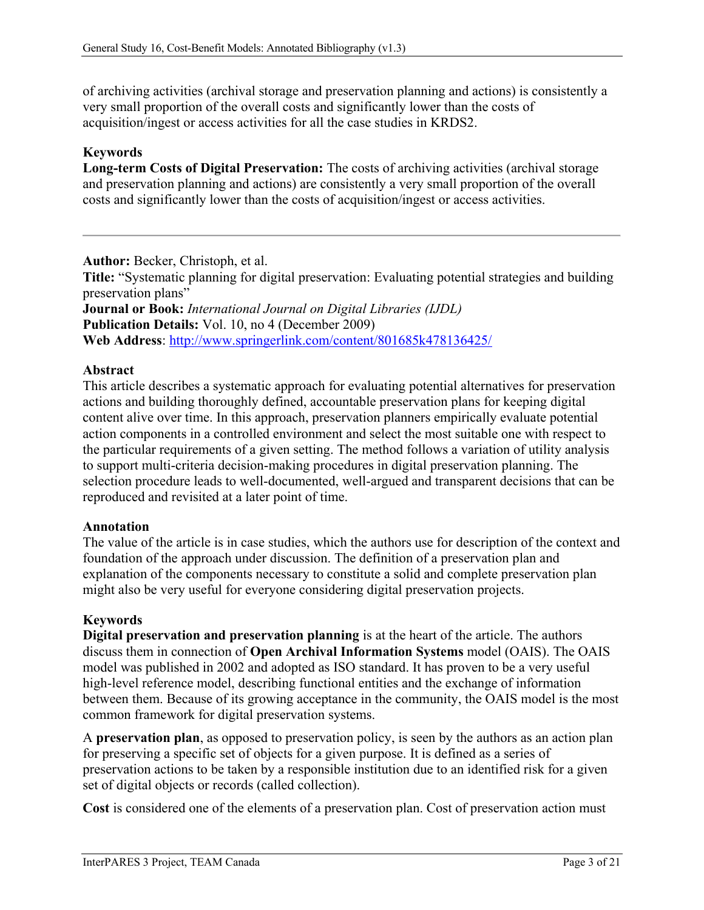of archiving activities (archival storage and preservation planning and actions) is consistently a very small proportion of the overall costs and significantly lower than the costs of acquisition/ingest or access activities for all the case studies in KRDS2.

## **Keywords**

**Long-term Costs of Digital Preservation:** The costs of archiving activities (archival storage and preservation planning and actions) are consistently a very small proportion of the overall costs and significantly lower than the costs of acquisition/ingest or access activities.

**Author:** Becker, Christoph, et al.

**Title:** "Systematic planning for digital preservation: Evaluating potential strategies and building preservation plans"

**Journal or Book:** *International Journal on Digital Libraries (IJDL)* **Publication Details:** Vol. 10, no 4 (December 2009) **Web Address**:<http://www.springerlink.com/content/801685k478136425/>

# **Abstract**

This article describes a systematic approach for evaluating potential alternatives for preservation actions and building thoroughly defined, accountable preservation plans for keeping digital content alive over time. In this approach, preservation planners empirically evaluate potential action components in a controlled environment and select the most suitable one with respect to the particular requirements of a given setting. The method follows a variation of utility analysis to support multi-criteria decision-making procedures in digital preservation planning. The selection procedure leads to well-documented, well-argued and transparent decisions that can be reproduced and revisited at a later point of time.

### **Annotation**

The value of the article is in case studies, which the authors use for description of the context and foundation of the approach under discussion. The definition of a preservation plan and explanation of the components necessary to constitute a solid and complete preservation plan might also be very useful for everyone considering digital preservation projects.

### **Keywords**

**Digital preservation and preservation planning** is at the heart of the article. The authors discuss them in connection of **Open Archival Information Systems** model (OAIS). The OAIS model was published in 2002 and adopted as ISO standard. It has proven to be a very useful high-level reference model, describing functional entities and the exchange of information between them. Because of its growing acceptance in the community, the OAIS model is the most common framework for digital preservation systems.

A **preservation plan**, as opposed to preservation policy, is seen by the authors as an action plan for preserving a specific set of objects for a given purpose. It is defined as a series of preservation actions to be taken by a responsible institution due to an identified risk for a given set of digital objects or records (called collection).

**Cost** is considered one of the elements of a preservation plan. Cost of preservation action must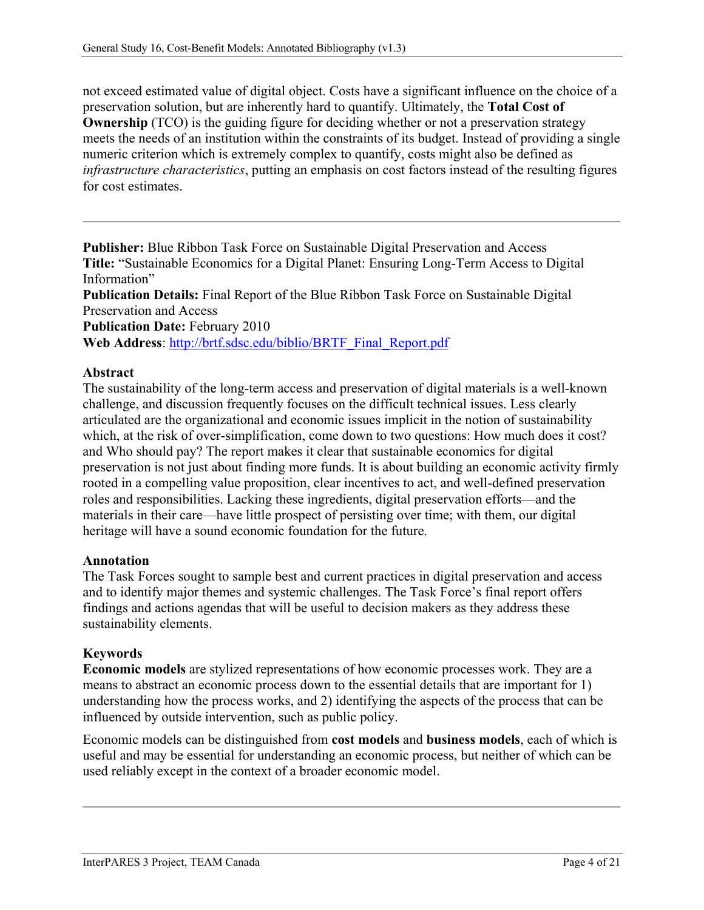not exceed estimated value of digital object. Costs have a significant influence on the choice of a preservation solution, but are inherently hard to quantify. Ultimately, the **Total Cost of Ownership** (TCO) is the guiding figure for deciding whether or not a preservation strategy meets the needs of an institution within the constraints of its budget. Instead of providing a single numeric criterion which is extremely complex to quantify, costs might also be defined as *infrastructure characteristics*, putting an emphasis on cost factors instead of the resulting figures for cost estimates.

**Publisher:** Blue Ribbon Task Force on Sustainable Digital Preservation and Access **Title:** "Sustainable Economics for a Digital Planet: Ensuring Long-Term Access to Digital Information"

**Publication Details:** Final Report of the Blue Ribbon Task Force on Sustainable Digital Preservation and Access

**Publication Date:** February 2010

**Web Address**: [http://brtf.sdsc.edu/biblio/BRTF\\_Final\\_Report.pdf](http://brtf.sdsc.edu/biblio/BRTF_Final_Report.pdf)

# **Abstract**

The sustainability of the long-term access and preservation of digital materials is a well-known challenge, and discussion frequently focuses on the difficult technical issues. Less clearly articulated are the organizational and economic issues implicit in the notion of sustainability which, at the risk of over-simplification, come down to two questions: How much does it cost? and Who should pay? The report makes it clear that sustainable economics for digital preservation is not just about finding more funds. It is about building an economic activity firmly rooted in a compelling value proposition, clear incentives to act, and well-defined preservation roles and responsibilities. Lacking these ingredients, digital preservation efforts—and the materials in their care—have little prospect of persisting over time; with them, our digital heritage will have a sound economic foundation for the future.

### **Annotation**

The Task Forces sought to sample best and current practices in digital preservation and access and to identify major themes and systemic challenges. The Task Force's final report offers findings and actions agendas that will be useful to decision makers as they address these sustainability elements.

### **Keywords**

**Economic models** are stylized representations of how economic processes work. They are a means to abstract an economic process down to the essential details that are important for 1) understanding how the process works, and 2) identifying the aspects of the process that can be influenced by outside intervention, such as public policy.

Economic models can be distinguished from **cost models** and **business models**, each of which is useful and may be essential for understanding an economic process, but neither of which can be used reliably except in the context of a broader economic model.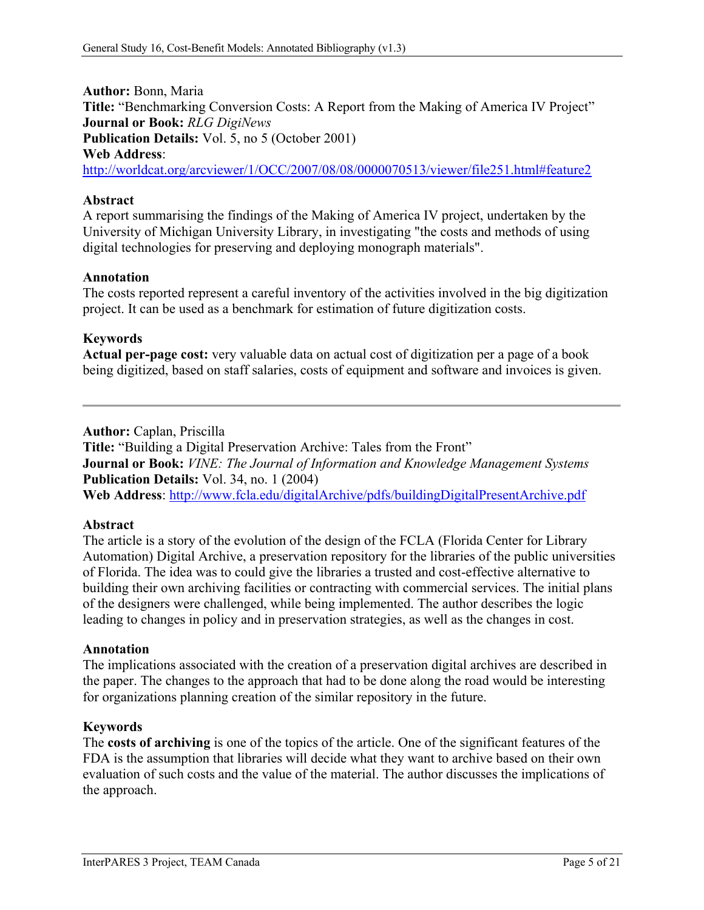**Author:** Bonn, Maria **Title:** "Benchmarking Conversion Costs: A Report from the Making of America IV Project" **Journal or Book:** *RLG DigiNews* **Publication Details:** Vol. 5, no 5 (October 2001) **Web Address**:

<http://worldcat.org/arcviewer/1/OCC/2007/08/08/0000070513/viewer/file251.html#feature2>

# **Abstract**

A report summarising the findings of the Making of America IV project, undertaken by the University of Michigan University Library, in investigating "the costs and methods of using digital technologies for preserving and deploying monograph materials".

# **Annotation**

The costs reported represent a careful inventory of the activities involved in the big digitization project. It can be used as a benchmark for estimation of future digitization costs.

# **Keywords**

**Actual per-page cost:** very valuable data on actual cost of digitization per a page of a book being digitized, based on staff salaries, costs of equipment and software and invoices is given.

### **Author:** Caplan, Priscilla

**Title:** "Building a Digital Preservation Archive: Tales from the Front" **Journal or Book:** *VINE: The Journal of Information and Knowledge Management Systems* **Publication Details:** Vol. 34, no. 1 (2004) **Web Address**:<http://www.fcla.edu/digitalArchive/pdfs/buildingDigitalPresentArchive.pdf>

### **Abstract**

The article is a story of the evolution of the design of the FCLA (Florida Center for Library Automation) Digital Archive, a preservation repository for the libraries of the public universities of Florida. The idea was to could give the libraries a trusted and cost-effective alternative to building their own archiving facilities or contracting with commercial services. The initial plans of the designers were challenged, while being implemented. The author describes the logic leading to changes in policy and in preservation strategies, as well as the changes in cost.

### **Annotation**

The implications associated with the creation of a preservation digital archives are described in the paper. The changes to the approach that had to be done along the road would be interesting for organizations planning creation of the similar repository in the future.

### **Keywords**

The **costs of archiving** is one of the topics of the article. One of the significant features of the FDA is the assumption that libraries will decide what they want to archive based on their own evaluation of such costs and the value of the material. The author discusses the implications of the approach.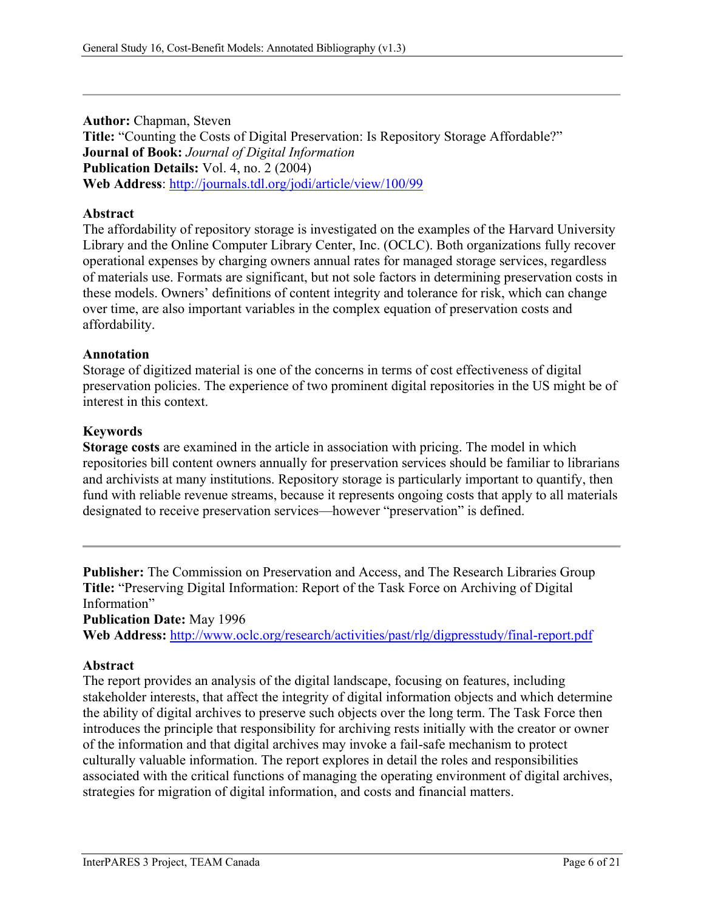**Author:** Chapman, Steven **Title:** "Counting the Costs of Digital Preservation: Is Repository Storage Affordable?" **Journal of Book:** *Journal of Digital Information* **Publication Details:** Vol. 4, no. 2 (2004) **Web Address**:<http://journals.tdl.org/jodi/article/view/100/99>

### **Abstract**

The affordability of repository storage is investigated on the examples of the Harvard University Library and the Online Computer Library Center, Inc. (OCLC). Both organizations fully recover operational expenses by charging owners annual rates for managed storage services, regardless of materials use. Formats are significant, but not sole factors in determining preservation costs in these models. Owners' definitions of content integrity and tolerance for risk, which can change over time, are also important variables in the complex equation of preservation costs and affordability.

### **Annotation**

Storage of digitized material is one of the concerns in terms of cost effectiveness of digital preservation policies. The experience of two prominent digital repositories in the US might be of interest in this context.

### **Keywords**

**Storage costs** are examined in the article in association with pricing. The model in which repositories bill content owners annually for preservation services should be familiar to librarians and archivists at many institutions. Repository storage is particularly important to quantify, then fund with reliable revenue streams, because it represents ongoing costs that apply to all materials designated to receive preservation services—however "preservation" is defined.

**Publisher:** The Commission on Preservation and Access, and The Research Libraries Group **Title:** "Preserving Digital Information: Report of the Task Force on Archiving of Digital Information"

**Publication Date:** May 1996

**Web Address:** <http://www.oclc.org/research/activities/past/rlg/digpresstudy/final-report.pdf>

### **Abstract**

The report provides an analysis of the digital landscape, focusing on features, including stakeholder interests, that affect the integrity of digital information objects and which determine the ability of digital archives to preserve such objects over the long term. The Task Force then introduces the principle that responsibility for archiving rests initially with the creator or owner of the information and that digital archives may invoke a fail-safe mechanism to protect culturally valuable information. The report explores in detail the roles and responsibilities associated with the critical functions of managing the operating environment of digital archives, strategies for migration of digital information, and costs and financial matters.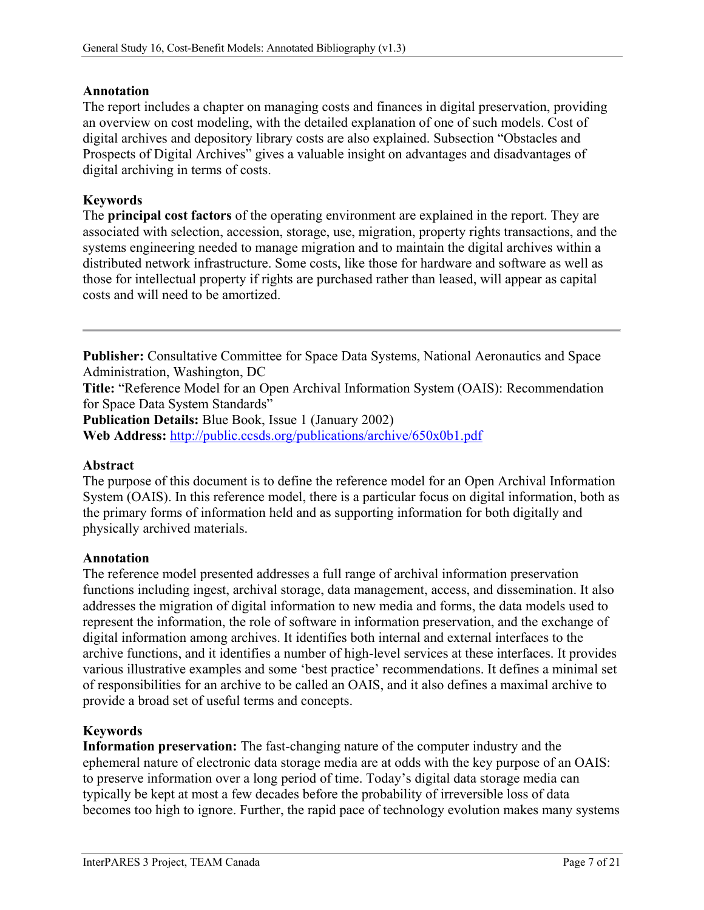## **Annotation**

The report includes a chapter on managing costs and finances in digital preservation, providing an overview on cost modeling, with the detailed explanation of one of such models. Cost of digital archives and depository library costs are also explained. Subsection "Obstacles and Prospects of Digital Archives" gives a valuable insight on advantages and disadvantages of digital archiving in terms of costs.

# **Keywords**

The **principal cost factors** of the operating environment are explained in the report. They are associated with selection, accession, storage, use, migration, property rights transactions, and the systems engineering needed to manage migration and to maintain the digital archives within a distributed network infrastructure. Some costs, like those for hardware and software as well as those for intellectual property if rights are purchased rather than leased, will appear as capital costs and will need to be amortized.

**Publisher:** Consultative Committee for Space Data Systems, National Aeronautics and Space Administration, Washington, DC

**Title:** "Reference Model for an Open Archival Information System (OAIS): Recommendation for Space Data System Standards"

**Publication Details:** Blue Book, Issue 1 (January 2002)

**Web Address:** <http://public.ccsds.org/publications/archive/650x0b1.pdf>

### **Abstract**

The purpose of this document is to define the reference model for an Open Archival Information System (OAIS). In this reference model, there is a particular focus on digital information, both as the primary forms of information held and as supporting information for both digitally and physically archived materials.

#### **Annotation**

The reference model presented addresses a full range of archival information preservation functions including ingest, archival storage, data management, access, and dissemination. It also addresses the migration of digital information to new media and forms, the data models used to represent the information, the role of software in information preservation, and the exchange of digital information among archives. It identifies both internal and external interfaces to the archive functions, and it identifies a number of high-level services at these interfaces. It provides various illustrative examples and some 'best practice' recommendations. It defines a minimal set of responsibilities for an archive to be called an OAIS, and it also defines a maximal archive to provide a broad set of useful terms and concepts.

### **Keywords**

**Information preservation:** The fast-changing nature of the computer industry and the ephemeral nature of electronic data storage media are at odds with the key purpose of an OAIS: to preserve information over a long period of time. Today's digital data storage media can typically be kept at most a few decades before the probability of irreversible loss of data becomes too high to ignore. Further, the rapid pace of technology evolution makes many systems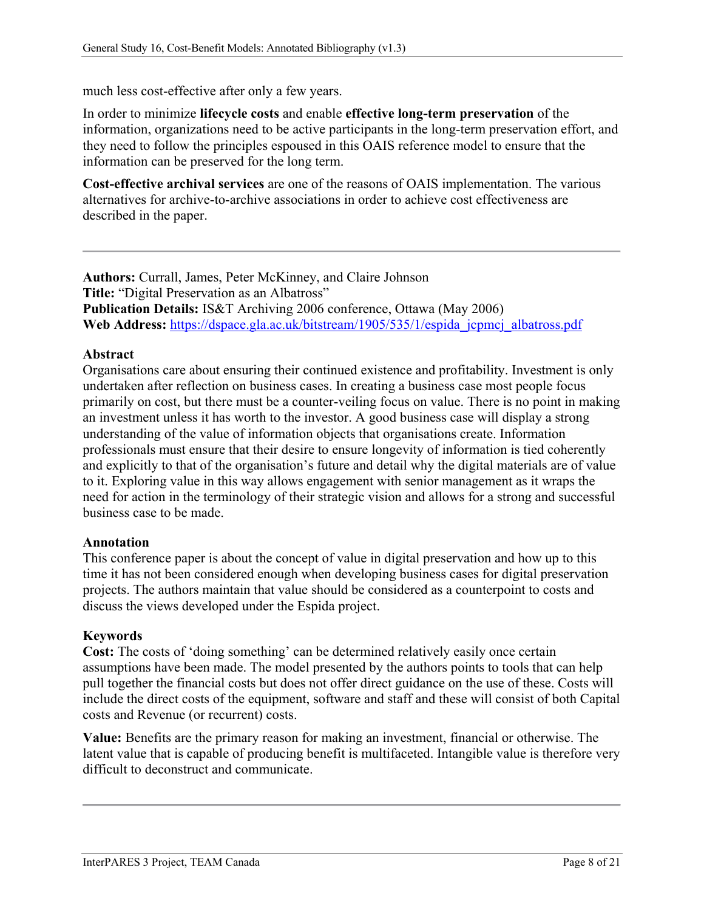much less cost-effective after only a few years.

In order to minimize **lifecycle costs** and enable **effective long-term preservation** of the information, organizations need to be active participants in the long-term preservation effort, and they need to follow the principles espoused in this OAIS reference model to ensure that the information can be preserved for the long term.

**Cost-effective archival services** are one of the reasons of OAIS implementation. The various alternatives for archive-to-archive associations in order to achieve cost effectiveness are described in the paper.

**Authors:** Currall, James, Peter McKinney, and Claire Johnson **Title:** "Digital Preservation as an Albatross" **Publication Details:** IS&T Archiving 2006 conference, Ottawa (May 2006) Web Address: [https://dspace.gla.ac.uk/bitstream/1905/535/1/espida\\_jcpmcj\\_albatross.pdf](https://dspace.gla.ac.uk/bitstream/1905/535/1/espida_jcpmcj_albatross.pdf)

### **Abstract**

Organisations care about ensuring their continued existence and profitability. Investment is only undertaken after reflection on business cases. In creating a business case most people focus primarily on cost, but there must be a counter-veiling focus on value. There is no point in making an investment unless it has worth to the investor. A good business case will display a strong understanding of the value of information objects that organisations create. Information professionals must ensure that their desire to ensure longevity of information is tied coherently and explicitly to that of the organisation's future and detail why the digital materials are of value to it. Exploring value in this way allows engagement with senior management as it wraps the need for action in the terminology of their strategic vision and allows for a strong and successful business case to be made.

#### **Annotation**

This conference paper is about the concept of value in digital preservation and how up to this time it has not been considered enough when developing business cases for digital preservation projects. The authors maintain that value should be considered as a counterpoint to costs and discuss the views developed under the Espida project.

### **Keywords**

**Cost:** The costs of 'doing something' can be determined relatively easily once certain assumptions have been made. The model presented by the authors points to tools that can help pull together the financial costs but does not offer direct guidance on the use of these. Costs will include the direct costs of the equipment, software and staff and these will consist of both Capital costs and Revenue (or recurrent) costs.

**Value:** Benefits are the primary reason for making an investment, financial or otherwise. The latent value that is capable of producing benefit is multifaceted. Intangible value is therefore very difficult to deconstruct and communicate.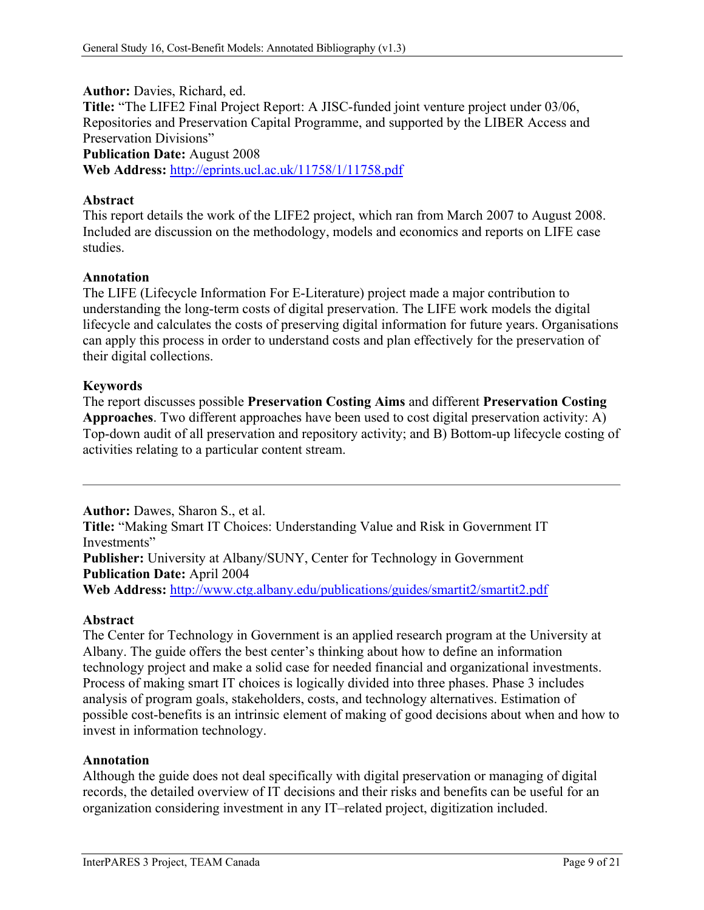**Author:** Davies, Richard, ed. **Title:** "The LIFE2 Final Project Report: A JISC-funded joint venture project under 03/06, Repositories and Preservation Capital Programme, and supported by the LIBER Access and Preservation Divisions" **Publication Date:** August 2008 **Web Address:** <http://eprints.ucl.ac.uk/11758/1/11758.pdf>

### **Abstract**

This report details the work of the LIFE2 project, which ran from March 2007 to August 2008. Included are discussion on the methodology, models and economics and reports on LIFE case studies.

#### **Annotation**

The LIFE (Lifecycle Information For E-Literature) project made a major contribution to understanding the long-term costs of digital preservation. The LIFE work models the digital lifecycle and calculates the costs of preserving digital information for future years. Organisations can apply this process in order to understand costs and plan effectively for the preservation of their digital collections.

### **Keywords**

The report discusses possible **Preservation Costing Aims** and different **Preservation Costing Approaches**. Two different approaches have been used to cost digital preservation activity: A) Top-down audit of all preservation and repository activity; and B) Bottom-up lifecycle costing of activities relating to a particular content stream.

**Author:** Dawes, Sharon S., et al. **Title:** "Making Smart IT Choices: Understanding Value and Risk in Government IT Investments" **Publisher:** University at Albany/SUNY, Center for Technology in Government **Publication Date:** April 2004 **Web Address:** <http://www.ctg.albany.edu/publications/guides/smartit2/smartit2.pdf>

#### **Abstract**

The Center for Technology in Government is an applied research program at the University at Albany. The guide offers the best center's thinking about how to define an information technology project and make a solid case for needed financial and organizational investments. Process of making smart IT choices is logically divided into three phases. Phase 3 includes analysis of program goals, stakeholders, costs, and technology alternatives. Estimation of possible cost-benefits is an intrinsic element of making of good decisions about when and how to invest in information technology.

#### **Annotation**

Although the guide does not deal specifically with digital preservation or managing of digital records, the detailed overview of IT decisions and their risks and benefits can be useful for an organization considering investment in any IT–related project, digitization included.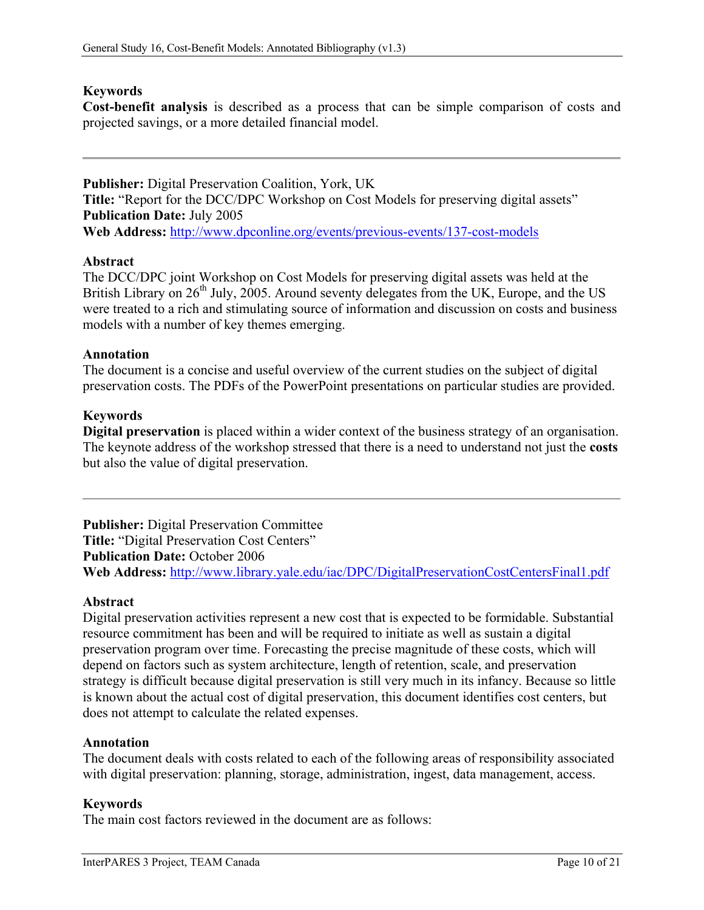## **Keywords**

**Cost-benefit analysis** is described as a process that can be simple comparison of costs and projected savings, or a more detailed financial model.

**Publisher:** Digital Preservation Coalition, York, UK **Title:** "Report for the DCC/DPC Workshop on Cost Models for preserving digital assets" **Publication Date:** July 2005 **Web Address:** <http://www.dpconline.org/events/previous-events/137-cost-models>

### **Abstract**

The DCC/DPC joint Workshop on Cost Models for preserving digital assets was held at the British Library on  $26<sup>th</sup>$  July, 2005. Around seventy delegates from the UK, Europe, and the US were treated to a rich and stimulating source of information and discussion on costs and business models with a number of key themes emerging.

### **Annotation**

The document is a concise and useful overview of the current studies on the subject of digital preservation costs. The PDFs of the PowerPoint presentations on particular studies are provided.

### **Keywords**

**Digital preservation** is placed within a wider context of the business strategy of an organisation. The keynote address of the workshop stressed that there is a need to understand not just the **costs** but also the value of digital preservation.

**Publisher:** Digital Preservation Committee **Title:** "Digital Preservation Cost Centers" **Publication Date:** October 2006 **Web Address:** <http://www.library.yale.edu/iac/DPC/DigitalPreservationCostCentersFinal1.pdf>

### **Abstract**

Digital preservation activities represent a new cost that is expected to be formidable. Substantial resource commitment has been and will be required to initiate as well as sustain a digital preservation program over time. Forecasting the precise magnitude of these costs, which will depend on factors such as system architecture, length of retention, scale, and preservation strategy is difficult because digital preservation is still very much in its infancy. Because so little is known about the actual cost of digital preservation, this document identifies cost centers, but does not attempt to calculate the related expenses.

#### **Annotation**

The document deals with costs related to each of the following areas of responsibility associated with digital preservation: planning, storage, administration, ingest, data management, access.

#### **Keywords**

The main cost factors reviewed in the document are as follows: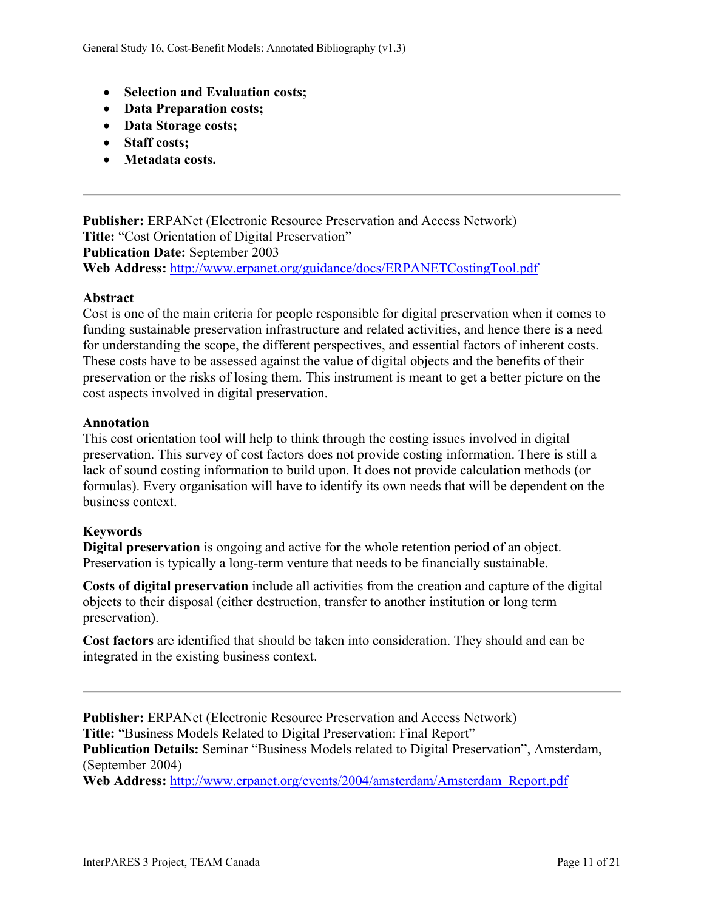- **Selection and Evaluation costs;**
- **Data Preparation costs;**
- **Data Storage costs;**
- **Staff costs;**
- **Metadata costs.**

**Publisher:** ERPANet (Electronic Resource Preservation and Access Network) **Title:** "Cost Orientation of Digital Preservation" **Publication Date:** September 2003 **Web Address:** <http://www.erpanet.org/guidance/docs/ERPANETCostingTool.pdf>

# **Abstract**

Cost is one of the main criteria for people responsible for digital preservation when it comes to funding sustainable preservation infrastructure and related activities, and hence there is a need for understanding the scope, the different perspectives, and essential factors of inherent costs. These costs have to be assessed against the value of digital objects and the benefits of their preservation or the risks of losing them. This instrument is meant to get a better picture on the cost aspects involved in digital preservation.

### **Annotation**

This cost orientation tool will help to think through the costing issues involved in digital preservation. This survey of cost factors does not provide costing information. There is still a lack of sound costing information to build upon. It does not provide calculation methods (or formulas). Every organisation will have to identify its own needs that will be dependent on the business context.

### **Keywords**

**Digital preservation** is ongoing and active for the whole retention period of an object. Preservation is typically a long-term venture that needs to be financially sustainable.

**Costs of digital preservation** include all activities from the creation and capture of the digital objects to their disposal (either destruction, transfer to another institution or long term preservation).

**Cost factors** are identified that should be taken into consideration. They should and can be integrated in the existing business context.

**Publisher:** ERPANet (Electronic Resource Preservation and Access Network) **Title:** "Business Models Related to Digital Preservation: Final Report" **Publication Details:** Seminar "Business Models related to Digital Preservation", Amsterdam, (September 2004)

**Web Address:** [http://www.erpanet.org/events/2004/amsterdam/Amsterdam\\_Report.pdf](http://www.erpanet.org/events/2004/amsterdam/Amsterdam_Report.pdf)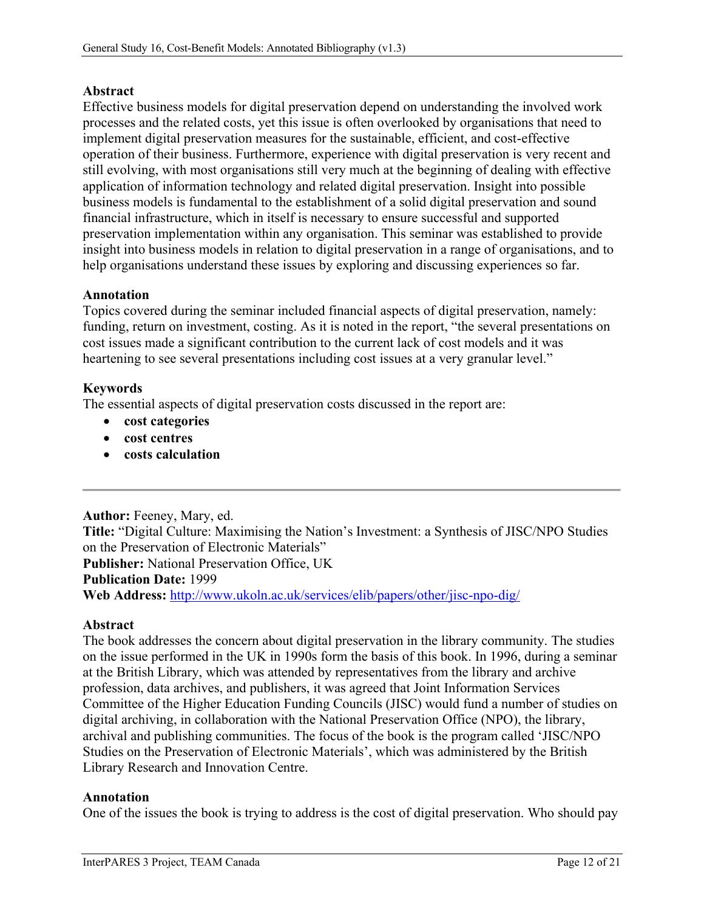# **Abstract**

Effective business models for digital preservation depend on understanding the involved work processes and the related costs, yet this issue is often overlooked by organisations that need to implement digital preservation measures for the sustainable, efficient, and cost-effective operation of their business. Furthermore, experience with digital preservation is very recent and still evolving, with most organisations still very much at the beginning of dealing with effective application of information technology and related digital preservation. Insight into possible business models is fundamental to the establishment of a solid digital preservation and sound financial infrastructure, which in itself is necessary to ensure successful and supported preservation implementation within any organisation. This seminar was established to provide insight into business models in relation to digital preservation in a range of organisations, and to help organisations understand these issues by exploring and discussing experiences so far.

### **Annotation**

Topics covered during the seminar included financial aspects of digital preservation, namely: funding, return on investment, costing. As it is noted in the report, "the several presentations on cost issues made a significant contribution to the current lack of cost models and it was heartening to see several presentations including cost issues at a very granular level."

# **Keywords**

The essential aspects of digital preservation costs discussed in the report are:

- **cost categories**
- **cost centres**
- **costs calculation**

### **Author:** Feeney, Mary, ed.

**Title:** "Digital Culture: Maximising the Nation's Investment: a Synthesis of JISC/NPO Studies on the Preservation of Electronic Materials" **Publisher:** National Preservation Office, UK **Publication Date:** 1999 **Web Address:** <http://www.ukoln.ac.uk/services/elib/papers/other/jisc-npo-dig/>

### **Abstract**

The book addresses the concern about digital preservation in the library community. The studies on the issue performed in the UK in 1990s form the basis of this book. In 1996, during a seminar at the British Library, which was attended by representatives from the library and archive profession, data archives, and publishers, it was agreed that Joint Information Services Committee of the Higher Education Funding Councils (JISC) would fund a number of studies on digital archiving, in collaboration with the National Preservation Office (NPO), the library, archival and publishing communities. The focus of the book is the program called 'JISC/NPO Studies on the Preservation of Electronic Materials', which was administered by the British Library Research and Innovation Centre.

### **Annotation**

One of the issues the book is trying to address is the cost of digital preservation. Who should pay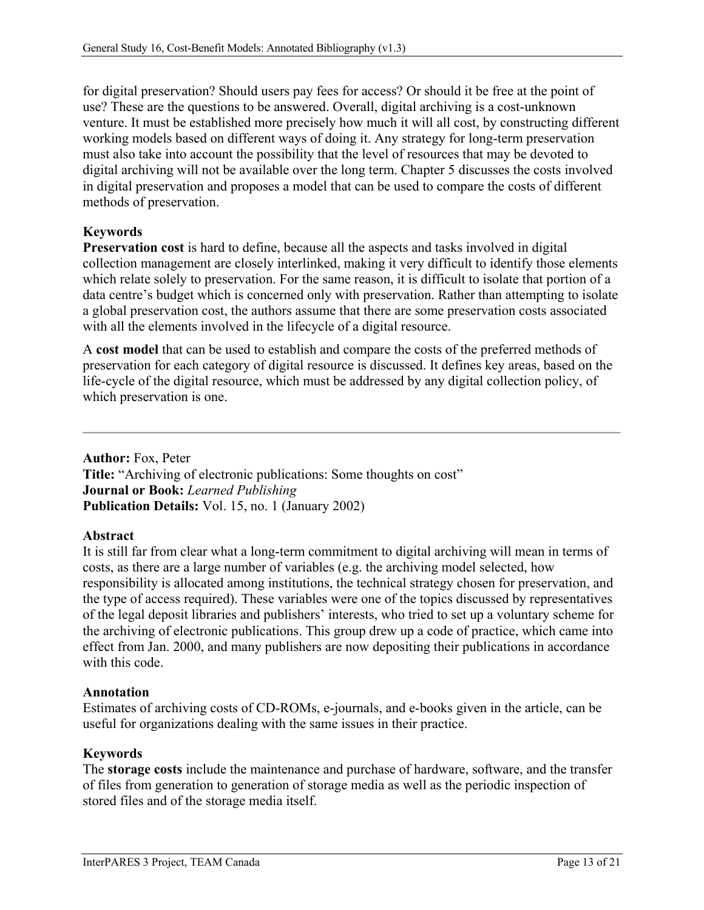for digital preservation? Should users pay fees for access? Or should it be free at the point of use? These are the questions to be answered. Overall, digital archiving is a cost-unknown venture. It must be established more precisely how much it will all cost, by constructing different working models based on different ways of doing it. Any strategy for long-term preservation must also take into account the possibility that the level of resources that may be devoted to digital archiving will not be available over the long term. Chapter 5 discusses the costs involved in digital preservation and proposes a model that can be used to compare the costs of different methods of preservation.

# **Keywords**

**Preservation cost** is hard to define, because all the aspects and tasks involved in digital collection management are closely interlinked, making it very difficult to identify those elements which relate solely to preservation. For the same reason, it is difficult to isolate that portion of a data centre's budget which is concerned only with preservation. Rather than attempting to isolate a global preservation cost, the authors assume that there are some preservation costs associated with all the elements involved in the lifecycle of a digital resource.

A **cost model** that can be used to establish and compare the costs of the preferred methods of preservation for each category of digital resource is discussed. It defines key areas, based on the life-cycle of the digital resource, which must be addressed by any digital collection policy, of which preservation is one.

**Author:** Fox, Peter **Title:** "Archiving of electronic publications: Some thoughts on cost" **Journal or Book:** *Learned Publishing* **Publication Details:** Vol. 15, no. 1 (January 2002)

### **Abstract**

It is still far from clear what a long-term commitment to digital archiving will mean in terms of costs, as there are a large number of variables (e.g. the archiving model selected, how responsibility is allocated among institutions, the technical strategy chosen for preservation, and the type of access required). These variables were one of the topics discussed by representatives of the legal deposit libraries and publishers' interests, who tried to set up a voluntary scheme for the archiving of electronic publications. This group drew up a code of practice, which came into effect from Jan. 2000, and many publishers are now depositing their publications in accordance with this code

### **Annotation**

Estimates of archiving costs of CD-ROMs, e-journals, and e-books given in the article, can be useful for organizations dealing with the same issues in their practice.

# **Keywords**

The **storage costs** include the maintenance and purchase of hardware, software, and the transfer of files from generation to generation of storage media as well as the periodic inspection of stored files and of the storage media itself.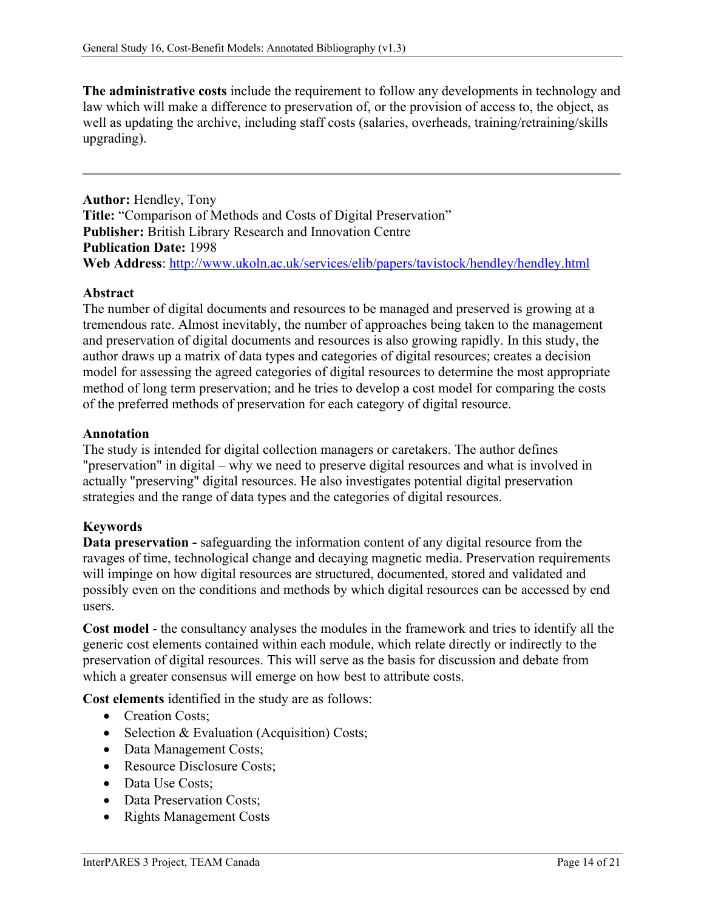**The administrative costs** include the requirement to follow any developments in technology and law which will make a difference to preservation of, or the provision of access to, the object, as well as updating the archive, including staff costs (salaries, overheads, training/retraining/skills upgrading).

**Author:** Hendley, Tony **Title:** "Comparison of Methods and Costs of Digital Preservation" **Publisher:** British Library Research and Innovation Centre **Publication Date:** 1998 **Web Address**:<http://www.ukoln.ac.uk/services/elib/papers/tavistock/hendley/hendley.html>

### **Abstract**

The number of digital documents and resources to be managed and preserved is growing at a tremendous rate. Almost inevitably, the number of approaches being taken to the management and preservation of digital documents and resources is also growing rapidly. In this study, the author draws up a matrix of data types and categories of digital resources; creates a decision model for assessing the agreed categories of digital resources to determine the most appropriate method of long term preservation; and he tries to develop a cost model for comparing the costs of the preferred methods of preservation for each category of digital resource.

### **Annotation**

The study is intended for digital collection managers or caretakers. The author defines "preservation" in digital – why we need to preserve digital resources and what is involved in actually "preserving" digital resources. He also investigates potential digital preservation strategies and the range of data types and the categories of digital resources.

### **Keywords**

**Data preservation -** safeguarding the information content of any digital resource from the ravages of time, technological change and decaying magnetic media. Preservation requirements will impinge on how digital resources are structured, documented, stored and validated and possibly even on the conditions and methods by which digital resources can be accessed by end users.

**Cost model** - the consultancy analyses the modules in the framework and tries to identify all the generic cost elements contained within each module, which relate directly or indirectly to the preservation of digital resources. This will serve as the basis for discussion and debate from which a greater consensus will emerge on how best to attribute costs.

**Cost elements** identified in the study are as follows:

- Creation Costs:
- Selection & Evaluation (Acquisition) Costs;
- Data Management Costs;
- Resource Disclosure Costs;
- Data Use Costs:
- Data Preservation Costs;
- Rights Management Costs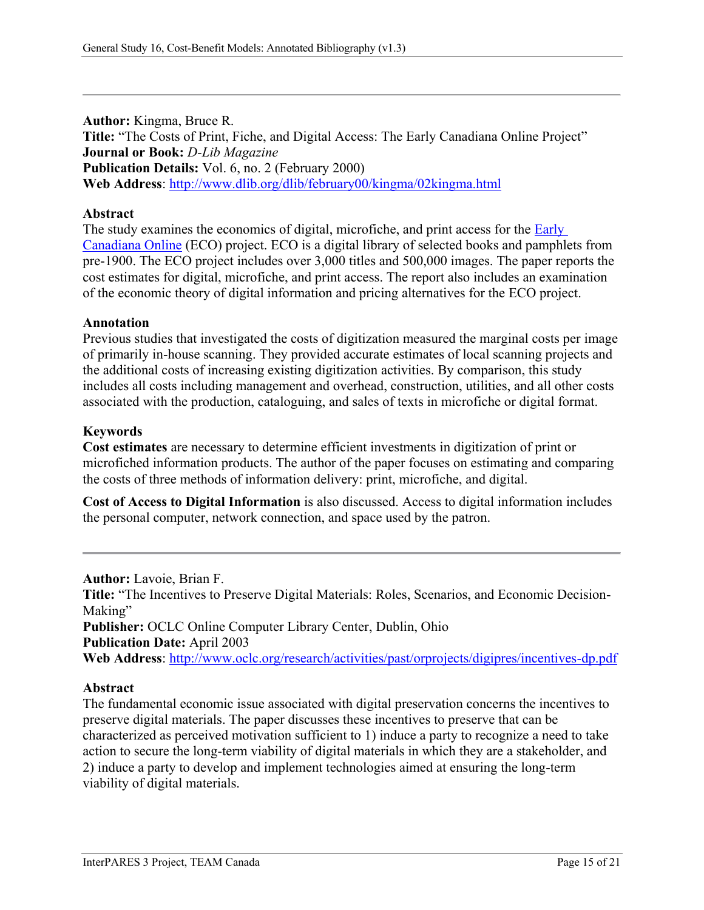**Author:** Kingma, Bruce R. **Title:** "The Costs of Print, Fiche, and Digital Access: The Early Canadiana Online Project" **Journal or Book:** *D-Lib Magazine* **Publication Details:** Vol. 6, no. 2 (February 2000) **Web Address**:<http://www.dlib.org/dlib/february00/kingma/02kingma.html>

### **Abstract**

The study examines the economics of digital, microfiche, and print access for the **Early** [Canadiana Online](http://www.canadiana.org/) (ECO) project. ECO is a digital library of selected books and pamphlets from pre-1900. The ECO project includes over 3,000 titles and 500,000 images. The paper reports the cost estimates for digital, microfiche, and print access. The report also includes an examination of the economic theory of digital information and pricing alternatives for the ECO project.

### **Annotation**

Previous studies that investigated the costs of digitization measured the marginal costs per image of primarily in-house scanning. They provided accurate estimates of local scanning projects and the additional costs of increasing existing digitization activities. By comparison, this study includes all costs including management and overhead, construction, utilities, and all other costs associated with the production, cataloguing, and sales of texts in microfiche or digital format.

### **Keywords**

**Cost estimates** are necessary to determine efficient investments in digitization of print or microfiched information products. The author of the paper focuses on estimating and comparing the costs of three methods of information delivery: print, microfiche, and digital.

**Cost of Access to Digital Information** is also discussed. Access to digital information includes the personal computer, network connection, and space used by the patron.

**Author:** Lavoie, Brian F. **Title:** "The Incentives to Preserve Digital Materials: Roles, Scenarios, and Economic Decision-Making" **Publisher:** OCLC Online Computer Library Center, Dublin, Ohio **Publication Date:** April 2003 **Web Address**:<http://www.oclc.org/research/activities/past/orprojects/digipres/incentives-dp.pdf>

#### **Abstract**

The fundamental economic issue associated with digital preservation concerns the incentives to preserve digital materials. The paper discusses these incentives to preserve that can be characterized as perceived motivation sufficient to 1) induce a party to recognize a need to take action to secure the long-term viability of digital materials in which they are a stakeholder, and 2) induce a party to develop and implement technologies aimed at ensuring the long-term viability of digital materials.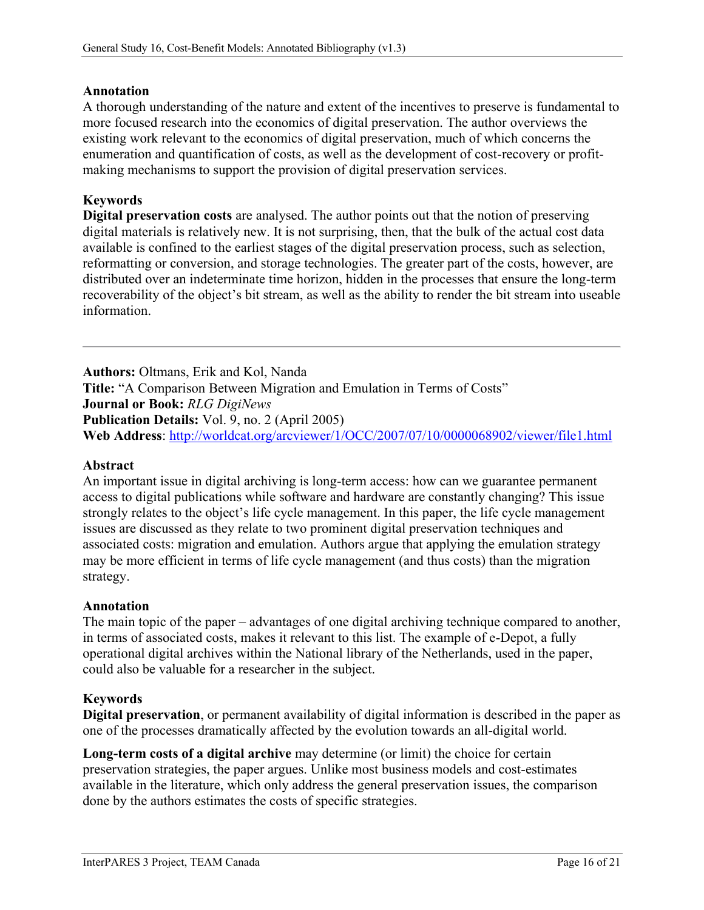## **Annotation**

A thorough understanding of the nature and extent of the incentives to preserve is fundamental to more focused research into the economics of digital preservation. The author overviews the existing work relevant to the economics of digital preservation, much of which concerns the enumeration and quantification of costs, as well as the development of cost-recovery or profitmaking mechanisms to support the provision of digital preservation services.

# **Keywords**

**Digital preservation costs** are analysed. The author points out that the notion of preserving digital materials is relatively new. It is not surprising, then, that the bulk of the actual cost data available is confined to the earliest stages of the digital preservation process, such as selection, reformatting or conversion, and storage technologies. The greater part of the costs, however, are distributed over an indeterminate time horizon, hidden in the processes that ensure the long-term recoverability of the object's bit stream, as well as the ability to render the bit stream into useable information.

**Authors:** Oltmans, Erik and Kol, Nanda **Title:** "A Comparison Between Migration and Emulation in Terms of Costs" **Journal or Book:** *RLG DigiNews* **Publication Details:** Vol. 9, no. 2 (April 2005) **Web Address**:<http://worldcat.org/arcviewer/1/OCC/2007/07/10/0000068902/viewer/file1.html>

### **Abstract**

An important issue in digital archiving is long-term access: how can we guarantee permanent access to digital publications while software and hardware are constantly changing? This issue strongly relates to the object's life cycle management. In this paper, the life cycle management issues are discussed as they relate to two prominent digital preservation techniques and associated costs: migration and emulation. Authors argue that applying the emulation strategy may be more efficient in terms of life cycle management (and thus costs) than the migration strategy.

### **Annotation**

The main topic of the paper – advantages of one digital archiving technique compared to another, in terms of associated costs, makes it relevant to this list. The example of e-Depot, a fully operational digital archives within the National library of the Netherlands, used in the paper, could also be valuable for a researcher in the subject.

# **Keywords**

**Digital preservation**, or permanent availability of digital information is described in the paper as one of the processes dramatically affected by the evolution towards an all-digital world.

**Long-term costs of a digital archive** may determine (or limit) the choice for certain preservation strategies, the paper argues. Unlike most business models and cost-estimates available in the literature, which only address the general preservation issues, the comparison done by the authors estimates the costs of specific strategies.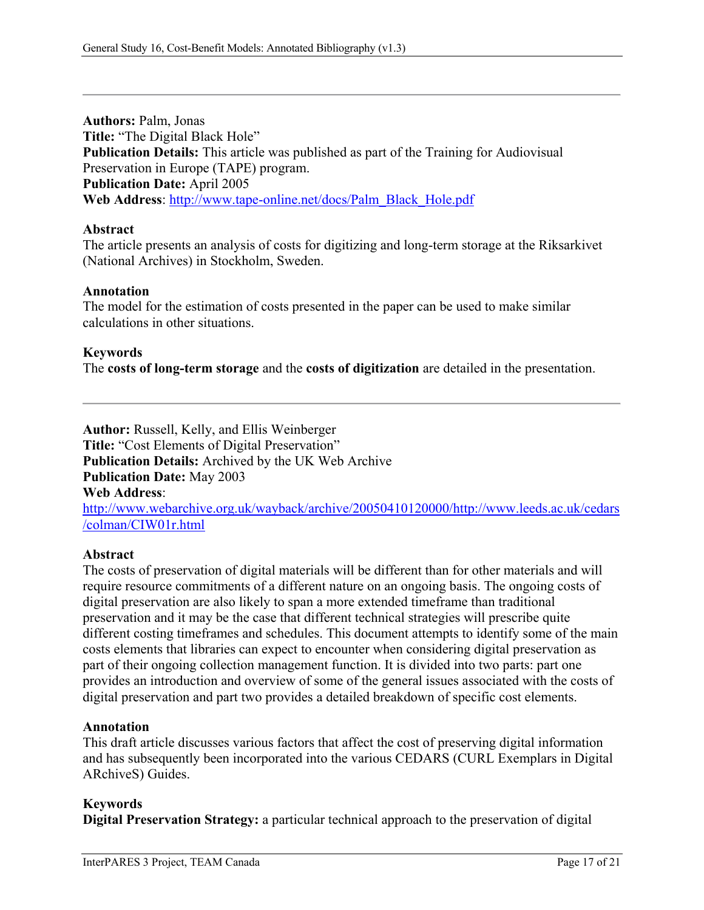**Authors:** Palm, Jonas **Title:** "The Digital Black Hole" **Publication Details:** This article was published as part of the Training for Audiovisual Preservation in Europe (TAPE) program. **Publication Date:** April 2005 **Web Address**: [http://www.tape-online.net/docs/Palm\\_Black\\_Hole.pdf](http://www.tape-online.net/docs/Palm_Black_Hole.pdf)

### **Abstract**

The article presents an analysis of costs for digitizing and long-term storage at the Riksarkivet (National Archives) in Stockholm, Sweden.

### **Annotation**

The model for the estimation of costs presented in the paper can be used to make similar calculations in other situations.

### **Keywords**

The **costs of long-term storage** and the **costs of digitization** are detailed in the presentation.

**Author:** Russell, Kelly, and Ellis Weinberger **Title:** "Cost Elements of Digital Preservation" **Publication Details:** Archived by the UK Web Archive **Publication Date:** May 2003 **Web Address**: [http://www.webarchive.org.uk/wayback/archive/20050410120000/http://www.leeds.ac.uk/cedars](http://www.webarchive.org.uk/wayback/archive/20050410120000/http:/www.leeds.ac.uk/cedars/colman/CIW01r.html) [/colman/CIW01r.html](http://www.webarchive.org.uk/wayback/archive/20050410120000/http:/www.leeds.ac.uk/cedars/colman/CIW01r.html)

#### **Abstract**

The costs of preservation of digital materials will be different than for other materials and will require resource commitments of a different nature on an ongoing basis. The ongoing costs of digital preservation are also likely to span a more extended timeframe than traditional preservation and it may be the case that different technical strategies will prescribe quite different costing timeframes and schedules. This document attempts to identify some of the main costs elements that libraries can expect to encounter when considering digital preservation as part of their ongoing collection management function. It is divided into two parts: part one provides an introduction and overview of some of the general issues associated with the costs of digital preservation and part two provides a detailed breakdown of specific cost elements.

### **Annotation**

This draft article discusses various factors that affect the cost of preserving digital information and has subsequently been incorporated into the various CEDARS (CURL Exemplars in Digital ARchiveS) Guides.

### **Keywords**

**Digital Preservation Strategy:** a particular technical approach to the preservation of digital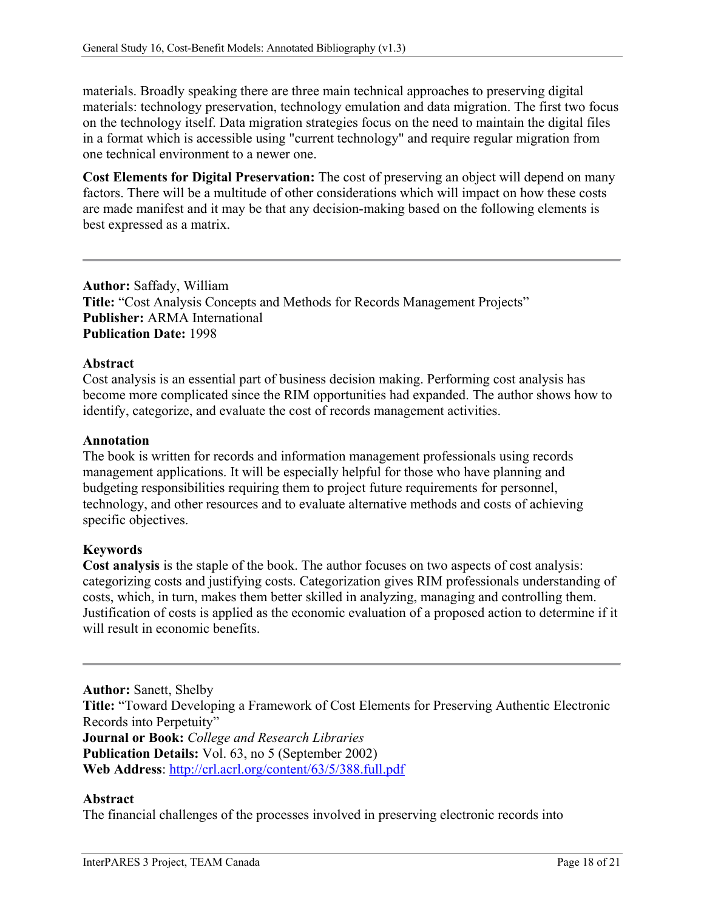materials. Broadly speaking there are three main technical approaches to preserving digital materials: technology preservation, technology emulation and data migration. The first two focus on the technology itself. Data migration strategies focus on the need to maintain the digital files in a format which is accessible using "current technology" and require regular migration from one technical environment to a newer one.

**Cost Elements for Digital Preservation:** The cost of preserving an object will depend on many factors. There will be a multitude of other considerations which will impact on how these costs are made manifest and it may be that any decision-making based on the following elements is best expressed as a matrix.

**Author:** Saffady, William **Title:** "Cost Analysis Concepts and Methods for Records Management Projects" **Publisher:** ARMA International **Publication Date:** 1998

### **Abstract**

Cost analysis is an essential part of business decision making. Performing cost analysis has become more complicated since the RIM opportunities had expanded. The author shows how to identify, categorize, and evaluate the cost of records management activities.

#### **Annotation**

The book is written for records and information management professionals using records management applications. It will be especially helpful for those who have planning and budgeting responsibilities requiring them to project future requirements for personnel, technology, and other resources and to evaluate alternative methods and costs of achieving specific objectives.

### **Keywords**

**Cost analysis** is the staple of the book. The author focuses on two aspects of cost analysis: categorizing costs and justifying costs. Categorization gives RIM professionals understanding of costs, which, in turn, makes them better skilled in analyzing, managing and controlling them. Justification of costs is applied as the economic evaluation of a proposed action to determine if it will result in economic benefits.

**Author:** Sanett, Shelby **Title:** "Toward Developing a Framework of Cost Elements for Preserving Authentic Electronic Records into Perpetuity" **Journal or Book:** *College and Research Libraries* **Publication Details:** Vol. 63, no 5 (September 2002) **Web Address**:<http://crl.acrl.org/content/63/5/388.full.pdf>

#### **Abstract**

The financial challenges of the processes involved in preserving electronic records into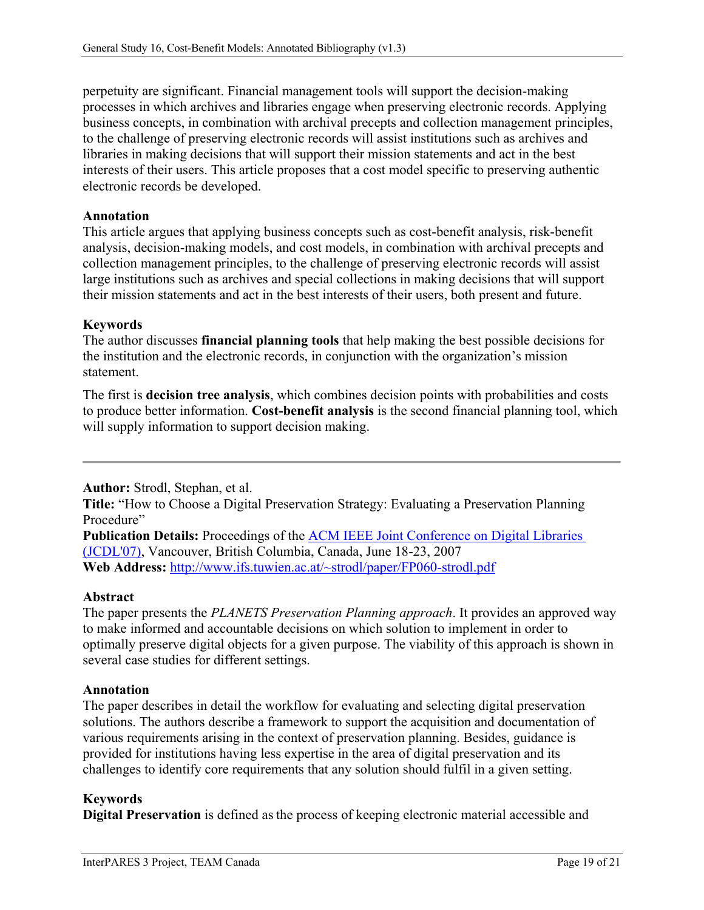perpetuity are significant. Financial management tools will support the decision-making processes in which archives and libraries engage when preserving electronic records. Applying business concepts, in combination with archival precepts and collection management principles, to the challenge of preserving electronic records will assist institutions such as archives and libraries in making decisions that will support their mission statements and act in the best interests of their users. This article proposes that a cost model specific to preserving authentic electronic records be developed.

### **Annotation**

This article argues that applying business concepts such as cost-benefit analysis, risk-benefit analysis, decision-making models, and cost models, in combination with archival precepts and collection management principles, to the challenge of preserving electronic records will assist large institutions such as archives and special collections in making decisions that will support their mission statements and act in the best interests of their users, both present and future.

### **Keywords**

The author discusses **financial planning tools** that help making the best possible decisions for the institution and the electronic records, in conjunction with the organization's mission statement.

The first is **decision tree analysis**, which combines decision points with probabilities and costs to produce better information. **Cost-benefit analysis** is the second financial planning tool, which will supply information to support decision making.

**Author:** Strodl, Stephan, et al.

**Title:** "How to Choose a Digital Preservation Strategy: Evaluating a Preservation Planning Procedure"

**Publication Details:** Proceedings of the **ACM IEEE Joint Conference on Digital Libraries** [\(JCDL'07\),](http://www.jcdl2007.org/) Vancouver, British Columbia, Canada, June 18-23, 2007 **Web Address:** <http://www.ifs.tuwien.ac.at/~strodl/paper/FP060-strodl.pdf>

### **Abstract**

The paper presents the *PLANETS Preservation Planning approach*. It provides an approved way to make informed and accountable decisions on which solution to implement in order to optimally preserve digital objects for a given purpose. The viability of this approach is shown in several case studies for different settings.

### **Annotation**

The paper describes in detail the workflow for evaluating and selecting digital preservation solutions. The authors describe a framework to support the acquisition and documentation of various requirements arising in the context of preservation planning. Besides, guidance is provided for institutions having less expertise in the area of digital preservation and its challenges to identify core requirements that any solution should fulfil in a given setting.

### **Keywords**

**Digital Preservation** is defined asthe process of keeping electronic material accessible and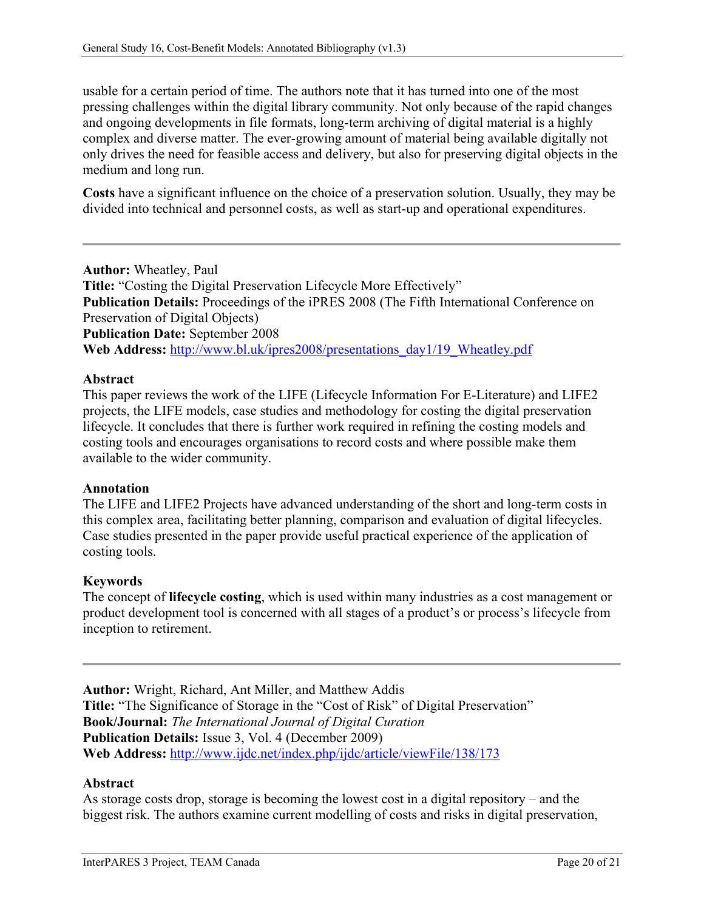usable for a certain period of time. The authors note that it has turned into one of the most pressing challenges within the digital library community. Not only because of the rapid changes and ongoing developments in file formats, long-term archiving of digital material is a highly complex and diverse matter. The ever-growing amount of material being available digitally not only drives the need for feasible access and delivery, but also for preserving digital objects in the medium and long run.

**Costs** have a significant influence on the choice of a preservation solution. Usually, they may be divided into technical and personnel costs, as well as start-up and operational expenditures.

**Author:** Wheatley, Paul **Title:** "Costing the Digital Preservation Lifecycle More Effectively" **Publication Details:** Proceedings of the iPRES 2008 (The Fifth International Conference on Preservation of Digital Objects) **Publication Date:** September 2008 **Web Address:** [http://www.bl.uk/ipres2008/presentations\\_day1/19\\_Wheatley.pdf](http://www.bl.uk/ipres2008/presentations_day1/19_Wheatley.pdf)

# **Abstract**

This paper reviews the work of the LIFE (Lifecycle Information For E-Literature) and LIFE2 projects, the LIFE models, case studies and methodology for costing the digital preservation lifecycle. It concludes that there is further work required in refining the costing models and costing tools and encourages organisations to record costs and where possible make them available to the wider community.

### **Annotation**

The LIFE and LIFE2 Projects have advanced understanding of the short and long-term costs in this complex area, facilitating better planning, comparison and evaluation of digital lifecycles. Case studies presented in the paper provide useful practical experience of the application of costing tools.

### **Keywords**

The concept of **lifecycle costing**, which is used within many industries as a cost management or product development tool is concerned with all stages of a product's or process's lifecycle from inception to retirement.

**Author:** Wright, Richard, Ant Miller, and Matthew Addis **Title:** "The Significance of Storage in the "Cost of Risk" of Digital Preservation" **Book/Journal:** *The International Journal of Digital Curation* **Publication Details:** Issue 3, Vol. 4 (December 2009) **Web Address:** <http://www.ijdc.net/index.php/ijdc/article/viewFile/138/173>

### **Abstract**

As storage costs drop, storage is becoming the lowest cost in a digital repository – and the biggest risk. The authors examine current modelling of costs and risks in digital preservation,